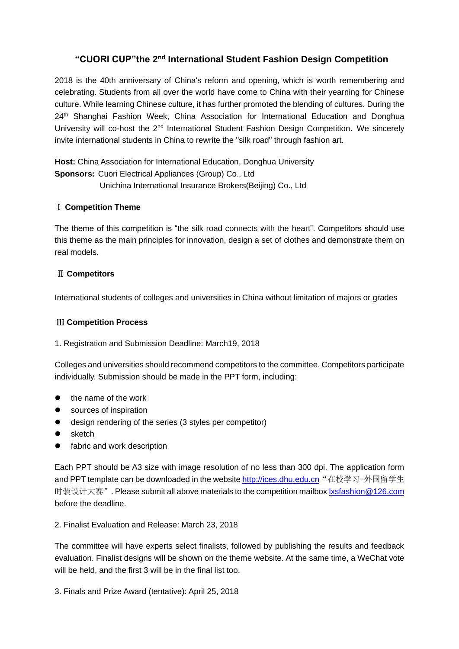# "CUORI CUP"the 2<sup>nd</sup> International Student Fashion Design Competition

2018 is the 40th anniversary of China's reform and opening, which is worth remembering and celebrating. Students from all over the world have come to China with their yearning for Chinese culture. While learning Chinese culture, it has further promoted the blending of cultures. During the 24<sup>th</sup> Shanghai Fashion Week, China Association for International Education and Donghua University will co-host the 2<sup>nd</sup> International Student Fashion Design Competition. We sincerely invite international students in China to rewrite the "silk road" through fashion art.

**Host:** China Association for International Education, Donghua University **Sponsors:** Cuori Electrical Appliances (Group) Co., Ltd Unichina International Insurance Brokers(Beijing) Co., Ltd

#### Ⅰ **Competition Theme**

The theme of this competition is "the silk road connects with the heart". Competitors should use this theme as the main principles for innovation, design a set of [clothes](http://dict.youdao.com/search?q=clothes&keyfrom=E2Ctranslation) and demonstrate them on real models.

#### Ⅱ **Competitors**

International students of colleges and universities in China without limitation of majors or grades

#### Ⅲ **Competition Process**

1. Registration and Submission Deadline: March19, 2018

Colleges and universities should recommend competitors to the committee. Competitors participate individually. Submission should be made in the PPT form, including:

- the name of the work
- sources of inspiration
- [design](http://dict.youdao.com/search?q=design&keyfrom=E2Ctranslation) [rendering](http://dict.youdao.com/w/sketch/) of the series (3 styles per competitor)
- sketch
- **•** fabric and work description

Each PPT should be A3 size with image resolution of no less than 300 dpi. The application form and PPT template can be downloaded in the website [http://ices.dhu.edu.cn](http://ices.dhu.edu.cn/) "在校学习-外国留学生 时装设计大赛". Please submit all above materials to the competition mailbox [lxsfashion@126.com](mailto:lxsfashion@126.com) before the deadline.

#### 2. Finalist Evaluation and Release: March 23, 2018

The committee will have experts select finalists, followed by publishing the results and feedback evaluation. Finalist designs will be shown on the theme website. At the same time, a WeChat vote will be held, and the first 3 will be in the final list too.

3. Finals and Prize Award (tentative): April 25, 2018